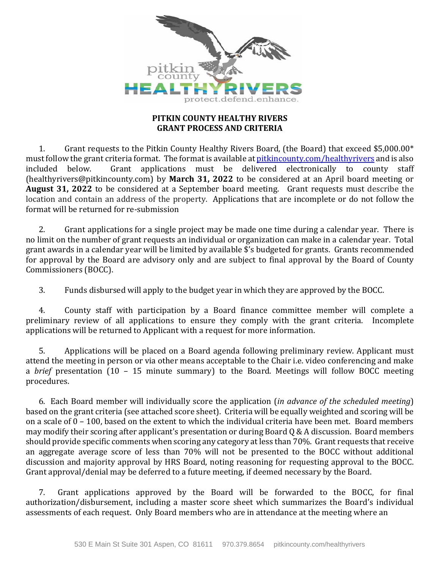

### **PITKIN COUNTY HEALTHY RIVERS GRANT PROCESS AND CRITERIA**

1. Grant requests to the Pitkin County Healthy Rivers Board, (the Board) that exceed \$5,000.00\* must follow the grant criteria format. The format is available at **pitkincounty.com/healthyrivers** and is also included below. Grant applications must be delivered electronically to county staff Grant applications must be delivered electronically to  $\overline{\text{county}}$  staff (healthyrivers@pitkincounty.com) by **March 31, 2022** to be considered at an April board meeting or **August 31, 2022** to be considered at a September board meeting. Grant requests must describe the location and contain an address of the property. Applications that are incomplete or do not follow the format will be returned for re-submission

2. Grant applications for a single project may be made one time during a calendar year. There is no limit on the number of grant requests an individual or organization can make in a calendar year. Total grant awards in a calendar year will be limited by available \$'s budgeted for grants. Grants recommended for approval by the Board are advisory only and are subject to final approval by the Board of County Commissioners (BOCC).

3. Funds disbursed will apply to the budget year in which they are approved by the BOCC.

4. County staff with participation by a Board finance committee member will complete a preliminary review of all applications to ensure they comply with the grant criteria. Incomplete applications will be returned to Applicant with a request for more information.

5. Applications will be placed on a Board agenda following preliminary review. Applicant must attend the meeting in person or via other means acceptable to the Chair i.e. video conferencing and make a *brief* presentation (10 – 15 minute summary) to the Board. Meetings will follow BOCC meeting procedures.

6. Each Board member will individually score the application (*in advance of the scheduled meeting*) based on the grant criteria (see attached score sheet). Criteria will be equally weighted and scoring will be on a scale of 0 – 100, based on the extent to which the individual criteria have been met. Board members may modify their scoring after applicant's presentation or during Board Q & A discussion. Board members should provide specific comments when scoring any category at less than 70%. Grant requests that receive an aggregate average score of less than 70% will not be presented to the BOCC without additional discussion and majority approval by HRS Board, noting reasoning for requesting approval to the BOCC. Grant approval/denial may be deferred to a future meeting, if deemed necessary by the Board.

7. Grant applications approved by the Board will be forwarded to the BOCC, for final authorization/disbursement, including a master score sheet which summarizes the Board's individual assessments of each request. Only Board members who are in attendance at the meeting where an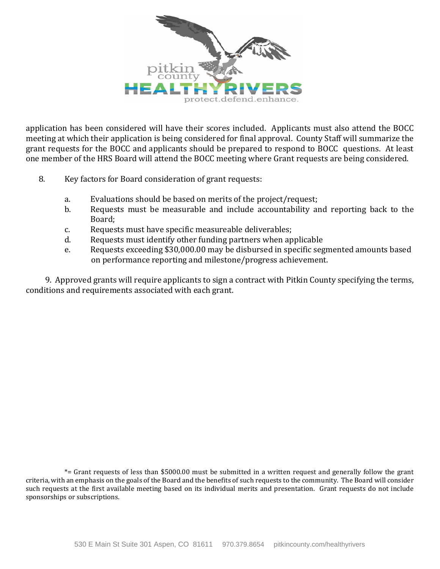

application has been considered will have their scores included. Applicants must also attend the BOCC meeting at which their application is being considered for final approval. County Staff will summarize the grant requests for the BOCC and applicants should be prepared to respond to BOCC questions. At least one member of the HRS Board will attend the BOCC meeting where Grant requests are being considered.

- 8. Key factors for Board consideration of grant requests:
	- a. Evaluations should be based on merits of the project/request;<br>b. Bequests must be measurable and include accountability a
	- Requests must be measurable and include accountability and reporting back to the Board;
	- c. Requests must have specific measureable deliverables;<br>d. Requests must identify other funding partners when an
	- Requests must identify other funding partners when applicable
	- e. Requests exceeding \$30,000.00 may be disbursed in specific segmented amounts based on performance reporting and milestone/progress achievement.

9. Approved grants will require applicants to sign a contract with Pitkin County specifying the terms, conditions and requirements associated with each grant.

\*= Grant requests of less than \$5000.00 must be submitted in a written request and generally follow the grant criteria, with an emphasis on the goals of the Board and the benefits of such requests to the community. The Board will consider such requests at the first available meeting based on its individual merits and presentation. Grant requests do not include sponsorships or subscriptions.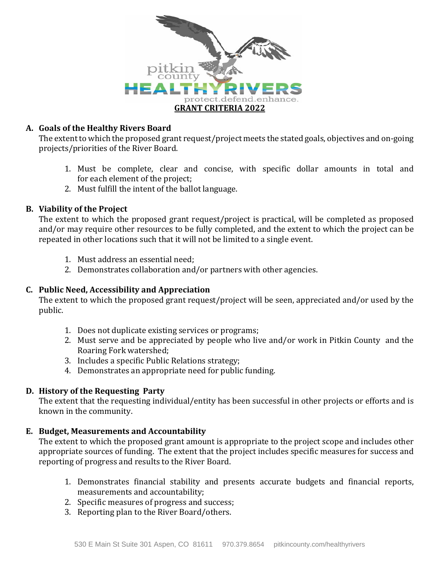

### **A. Goals of the Healthy Rivers Board**

The extent to which the proposed grant request/project meets the stated goals, objectives and on-going projects/priorities of the River Board.

- 1. Must be complete, clear and concise, with specific dollar amounts in total and for each element of the project;
- 2. Must fulfill the intent of the ballot language.

## **B. Viability of the Project**

The extent to which the proposed grant request/project is practical, will be completed as proposed and/or may require other resources to be fully completed, and the extent to which the project can be repeated in other locations such that it will not be limited to a single event.

- 1. Must address an essential need;
- 2. Demonstrates collaboration and/or partners with other agencies.

# **C. Public Need, Accessibility and Appreciation**

The extent to which the proposed grant request/project will be seen, appreciated and/or used by the public.

- 1. Does not duplicate existing services or programs;
- 2. Must serve and be appreciated by people who live and/or work in Pitkin County and the Roaring Fork watershed;
- 3. Includes a specific Public Relations strategy;
- 4. Demonstrates an appropriate need for public funding.

# **D. History of the Requesting Party**

The extent that the requesting individual/entity has been successful in other projects or efforts and is known in the community.

#### **E. Budget, Measurements and Accountability**

The extent to which the proposed grant amount is appropriate to the project scope and includes other appropriate sources of funding. The extent that the project includes specific measures for success and reporting of progress and results to the River Board.

- 1. Demonstrates financial stability and presents accurate budgets and financial reports, measurements and accountability;
- 2. Specific measures of progress and success;
- 3. Reporting plan to the River Board/others.